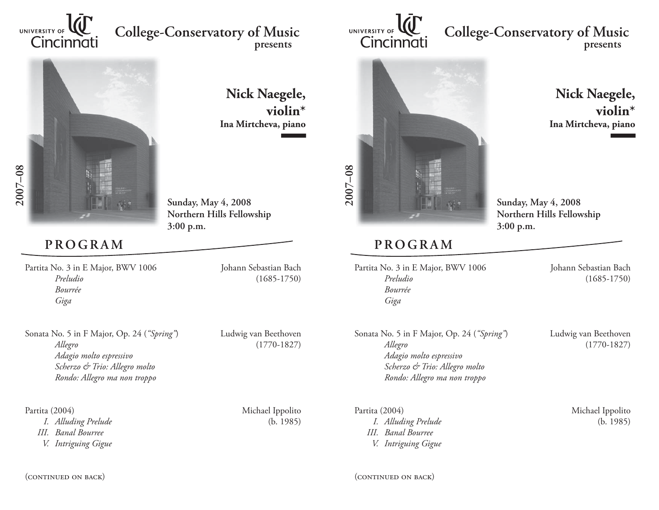

## **College-Conservatory of Music presents**



**Nick Naegele, violin\*Ina Mirtcheva, piano**

**Sunday, May 4, 2008 Northern Hills Fellowship 3:00 p.m.**

## **PROGRAM**

Partita No. 3 in E Major, BWV 1006 Johann Sebastian Bach *Preludio* (1685-1750) *Bourrée Giga*

Sonata No. 5 in F Major, Op. 24 (*"Spring"*) Ludwig van Beethoven  *Allegro* (1770-1827)  *Adagio molto espressivo Scherzo & Trio: Allegro molto Rondo: Allegro ma non troppo*

 *I. Alluding Prelude* (b. 1985)  *III. Banal Bourree V. Intriguing Gigue*

Partita (2004) Michael Ippolito

(continued on back)